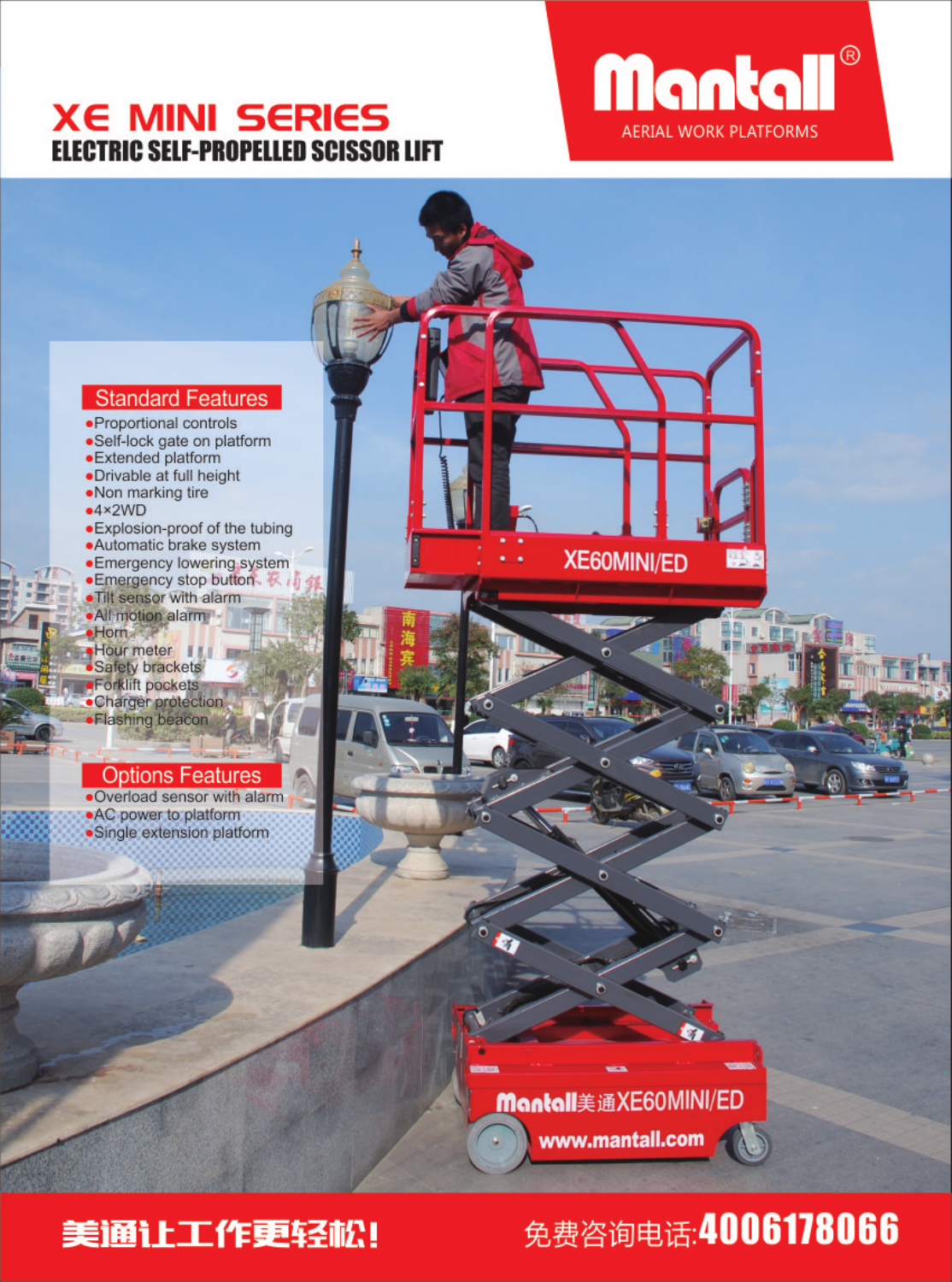### **XE MINI SERIES ELECTRIC SELF-PROPELLED SCISSOR LIFT**



### **Standard Features**

- · Proportional controls ·Self-lock gate on platform
- ·Extended platform
- ·Drivable at full height
- .Non marking tire
- $-4 \times 2WD$
- · Explosion-proof of the tubing
- ·Automatic brake system
- · Emergency lowering system
- Emergency stop button
- . Tilt sensor with alarm · All motion alarm
- $Horm$
- Hour meter<br>• Safety brackets
- 
- ·Forklift pockets
- ·Charger protection •Flashing beacon

### **Options Features**

. Overload sensor with alarm .AC power to platform ·Single extension platform

> **Montall**美通XE60MINI/ED www.mantall.com

**XE60MINI/ED** 

## 美通让工作更轻松!

## 免费咨询电话: 4006178066